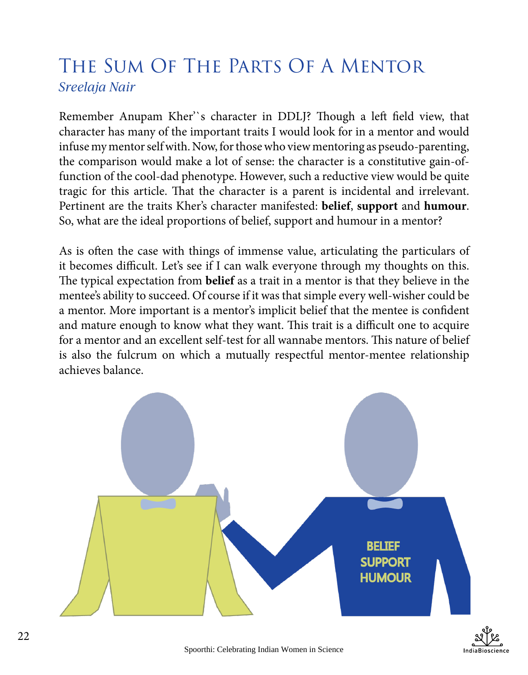## The Sum Of The Parts Of A Mentor *Sreelaja Nair*

Remember Anupam Kher'`s character in DDLJ? Though a left field view, that character has many of the important traits I would look for in a mentor and would infuse my mentor self with. Now, for those who view mentoring as pseudo-parenting, the comparison would make a lot of sense: the character is a constitutive gain-offunction of the cool-dad phenotype. However, such a reductive view would be quite tragic for this article. That the character is a parent is incidental and irrelevant. Pertinent are the traits Kher's character manifested: **belief**, **support** and **humour**. So, what are the ideal proportions of belief, support and humour in a mentor?

As is often the case with things of immense value, articulating the particulars of it becomes difficult. Let's see if I can walk everyone through my thoughts on this. The typical expectation from **belief** as a trait in a mentor is that they believe in the mentee's ability to succeed. Of course if it was that simple every well-wisher could be a mentor. More important is a mentor's implicit belief that the mentee is confident and mature enough to know what they want. This trait is a difficult one to acquire for a mentor and an excellent self-test for all wannabe mentors. This nature of belief is also the fulcrum on which a mutually respectful mentor-mentee relationship achieves balance.



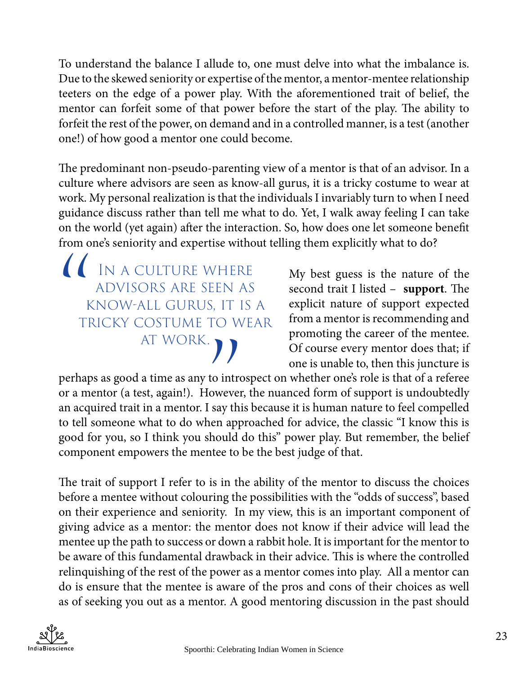To understand the balance I allude to, one must delve into what the imbalance is. Due to the skewed seniority or expertise of the mentor, a mentor-mentee relationship teeters on the edge of a power play. With the aforementioned trait of belief, the mentor can forfeit some of that power before the start of the play. The ability to forfeit the rest of the power, on demand and in a controlled manner, is a test (another one!) of how good a mentor one could become.

The predominant non-pseudo-parenting view of a mentor is that of an advisor. In a culture where advisors are seen as know-all gurus, it is a tricky costume to wear at work. My personal realization is that the individuals I invariably turn to when I need guidance discuss rather than tell me what to do. Yet, I walk away feeling I can take on the world (yet again) after the interaction. So, how does one let someone benefit from one's seniority and expertise without telling them explicitly what to do?

IN A CULTURE WHERE<br>
ADVISORS ARE SEEN AS<br>
KNOW-ALL GURUS, IT IS<br>
TRICKY COSTUME TO WEAT<br>
AT WORK. advisors are seen as know-all gurus, it is a tricky costume to wear AT WORK.  $\bigcap$ 

My best guess is the nature of the second trait I listed – **support**. The explicit nature of support expected from a mentor is recommending and promoting the career of the mentee. Of course every mentor does that; if one is unable to, then this juncture is

perhaps as good a time as any to introspect on whether one's role is that of a referee or a mentor (a test, again!). However, the nuanced form of support is undoubtedly an acquired trait in a mentor. I say this because it is human nature to feel compelled to tell someone what to do when approached for advice, the classic "I know this is good for you, so I think you should do this" power play. But remember, the belief component empowers the mentee to be the best judge of that.

The trait of support I refer to is in the ability of the mentor to discuss the choices before a mentee without colouring the possibilities with the "odds of success", based on their experience and seniority. In my view, this is an important component of giving advice as a mentor: the mentor does not know if their advice will lead the mentee up the path to success or down a rabbit hole. It is important for the mentor to be aware of this fundamental drawback in their advice. This is where the controlled relinquishing of the rest of the power as a mentor comes into play. All a mentor can do is ensure that the mentee is aware of the pros and cons of their choices as well as of seeking you out as a mentor. A good mentoring discussion in the past should